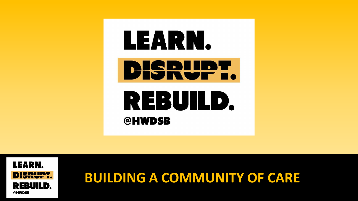

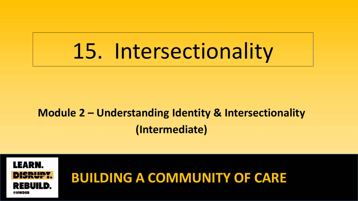## 15. Intersectionality

### **Module 2 – Understanding Identity & Intersectionality (Intermediate)**

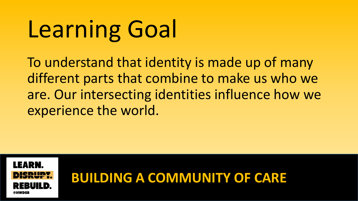# Learning Goal

To understand that identity is made up of many different parts that combine to make us who we are. Our intersecting identities influence how we experience the world.

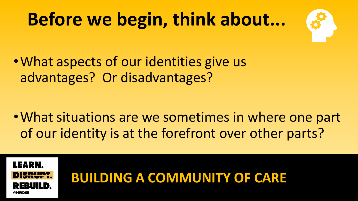## **Before we begin, think about...**



•What aspects of our identities give us advantages? Or disadvantages?

•What situations are we sometimes in where one part of our identity is at the forefront over other parts?

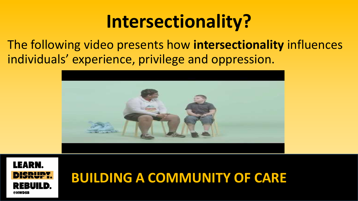### **Intersectionality?**

The following video presents how **intersectionality** influences individuals' experience, privilege and oppression.



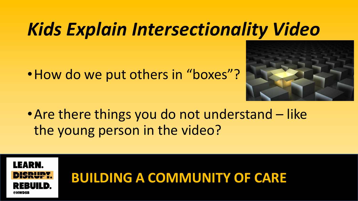### *Kids Explain Intersectionality Video*

• How do we put others in "boxes"?



• Are there things you do not understand – like the young person in the video?

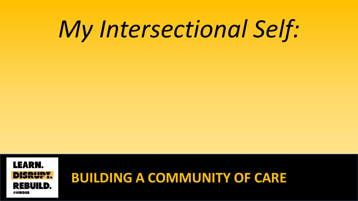# *My Intersectional Self:*

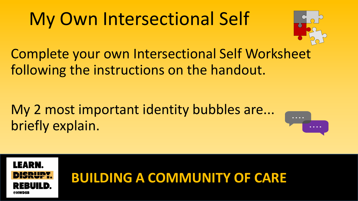### My Own Intersectional Self



Complete your own Intersectional Self Worksheet following the instructions on the handout.

### My 2 most important identity bubbles are... briefly explain.



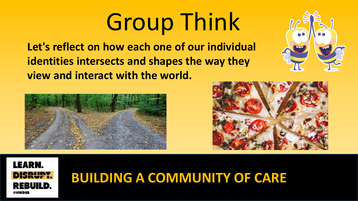# Group Think

**Let's reflect on how each one of our individual identities intersects and shapes the way they view and interact with the world.**







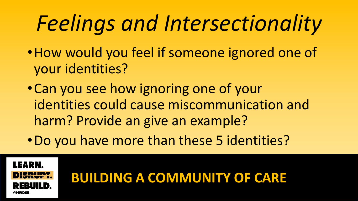## *Feelings and Intersectionality*

- •How would you feel if someone ignored one of your identities?
- •Can you see how ignoring one of your identities could cause miscommunication and harm? Provide an give an example?
- •Do you have more than these 5 identities?

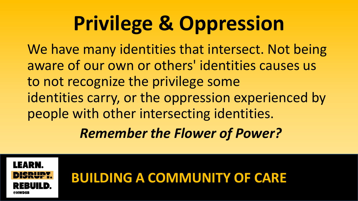## **Privilege & Oppression**

We have many identities that intersect. Not being aware of our own or others' identities causes us to not recognize the privilege some identities carry, or the oppression experienced by people with other intersecting identities.

*Remember the Flower of Power?*

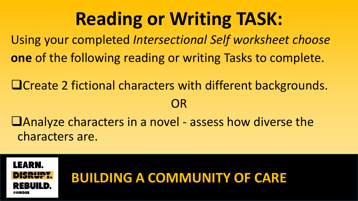### **Reading or Writing TASK:**

Using your completed *Intersectional Self worksheet choose* **one** of the following reading or writing Tasks to complete.

❑Create 2 fictional characters with different backgrounds. OR

❑Analyze characters in a novel - assess how diverse the characters are.